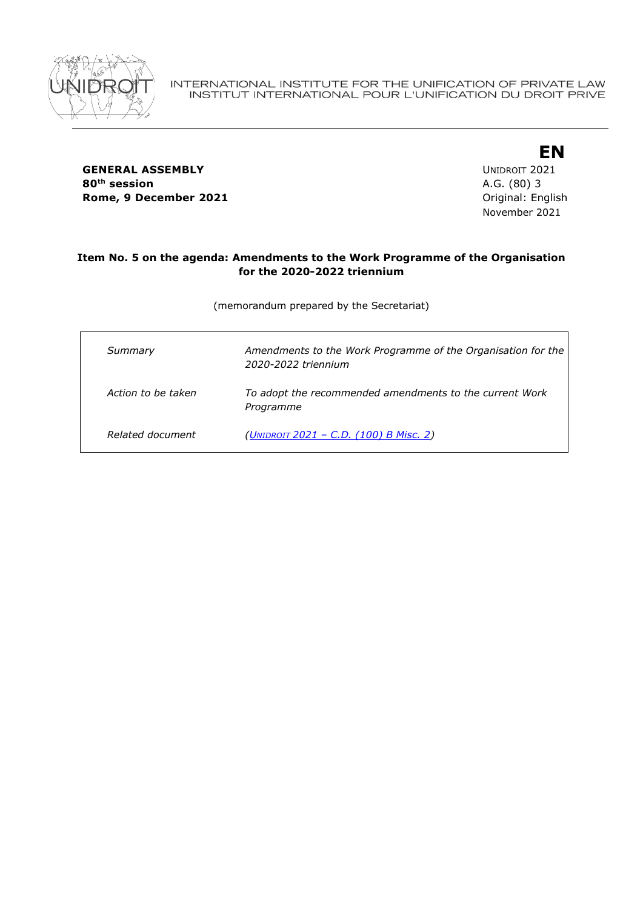

**GENERAL ASSEMBLY** UNIDROIT 2021 **80th session** A.G. (80) 3 **Rome, 9 December 2021 Communicate English** Driginal: English

**EN** November 2021

#### **Item No. 5 on the agenda: Amendments to the Work Programme of the Organisation for the 2020-2022 triennium**

(memorandum prepared by the Secretariat)

| Summary            | Amendments to the Work Programme of the Organisation for the<br>2020-2022 triennium |
|--------------------|-------------------------------------------------------------------------------------|
| Action to be taken | To adopt the recommended amendments to the current Work<br>Programme                |
| Related document   | (UNIDROIT 2021 - C.D. (100) B Misc. 2)                                              |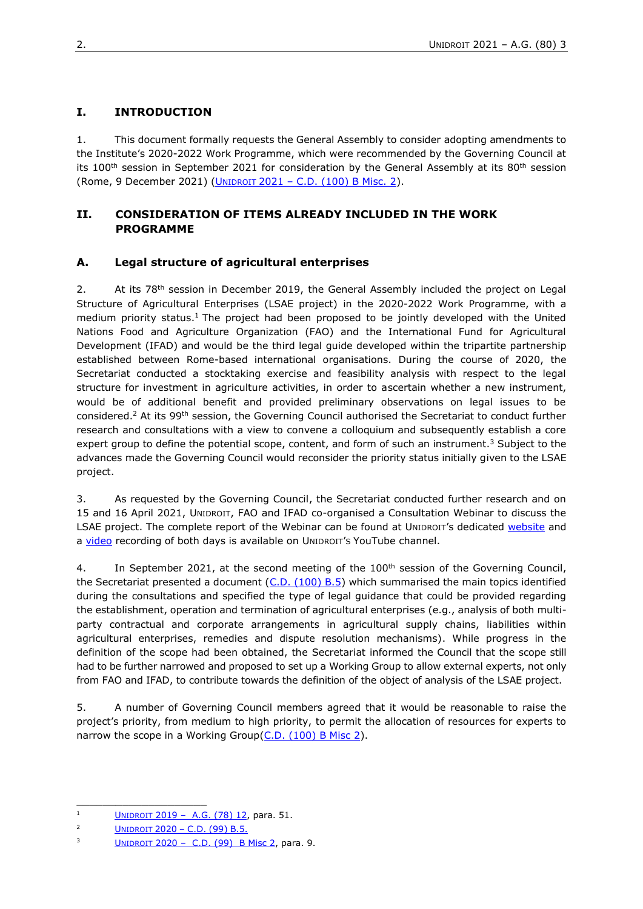# **I. INTRODUCTION**

1. This document formally requests the General Assembly to consider adopting amendments to the Institute's 2020-2022 Work Programme, which were recommended by the Governing Council at its 100<sup>th</sup> session in September 2021 for consideration by the General Assembly at its  $80<sup>th</sup>$  session (Rome, 9 December 2021) (UNIDROIT 2021 – [C.D. \(100\) B Misc. 2\)](https://www.unidroit.org/wp-content/uploads/2021/10/C.D.-100-B-Misc.-2-Summary-conclusions.pdf).

### **II. CONSIDERATION OF ITEMS ALREADY INCLUDED IN THE WORK PROGRAMME**

## **A. Legal structure of agricultural enterprises**

2. At its  $78<sup>th</sup>$  session in December 2019, the General Assembly included the project on Legal Structure of Agricultural Enterprises (LSAE project) in the 2020-2022 Work Programme, with a medium priority status.<sup>1</sup> The project had been proposed to be jointly developed with the United Nations Food and Agriculture Organization (FAO) and the International Fund for Agricultural Development (IFAD) and would be the third legal guide developed within the tripartite partnership established between Rome-based international organisations. During the course of 2020, the Secretariat conducted a stocktaking exercise and feasibility analysis with respect to the legal structure for investment in agriculture activities, in order to ascertain whether a new instrument, would be of additional benefit and provided preliminary observations on legal issues to be considered.<sup>2</sup> At its 99th session, the Governing Council authorised the Secretariat to conduct further research and consultations with a view to convene a colloquium and subsequently establish a core expert group to define the potential scope, content, and form of such an instrument.<sup>3</sup> Subject to the advances made the Governing Council would reconsider the priority status initially given to the LSAE project.

3. As requested by the Governing Council, the Secretariat conducted further research and on 15 and 16 April 2021, UNIDROIT, FAO and IFAD co-organised a Consultation Webinar to discuss the LSAE project. The complete [repo](https://www.unidroit.org/work-in-progress/legal-structure-of-aghttps:/www.unidroit.org/work-in-progress/legal-structure-of-agri-enterpriseri-enterprise)rt [of the Webinar c](https://www.unidroit.org/work-in-progress/legal-structure-of-aghttps:/www.unidroit.org/work-in-progress/legal-structure-of-agri-enterpriseri-enterprise)an be found at [U](https://www.unidroit.org/work-in-progress/legal-structure-of-aghttps:/www.unidroit.org/work-in-progress/legal-structure-of-agri-enterpriseri-enterprise)[NIDROIT](https://www.unidroit.org/work-in-progress/legal-structure-of-aghttps:/www.unidroit.org/work-in-progress/legal-structure-of-agri-enterpriseri-enterprise)'s [dedicated website](https://www.unidroit.org/work-in-progress/legal-structure-of-aghttps:/www.unidroit.org/work-in-progress/legal-structure-of-agri-enterpriseri-enterprise) and [a](https://www.unidroit.org/work-in-progress/legal-structure-of-aghttps:/www.unidroit.org/work-in-progress/legal-structure-of-agri-enterpriseri-enterprise) [video](https://www.youtube.com/watch?v=WdefvYGGbTs) recording of both days is available on UNIDROIT'S YouTube channel.

4. In September 2021, at the second meeting of the 100<sup>th</sup> session of the Governing Council, the Secretariat presented a document  $(C.D. (100) B.5)$  which summarised the main topics identified during the consultations and specified the type of legal guidance that could be provided regarding the establishment, operation and termination of agricultural enterprises (e.g., analysis of both multiparty contractual and corporate arrangements in agricultural supply chains, liabilities within agricultural enterprises, remedies and dispute resolution mechanisms). While progress in the definition of the scope had been obtained, the Secretariat informed the Council that the scope still had to be further narrowed and proposed to set up a Working Group to allow external experts, not only from FAO and IFAD, to contribute towards the definition of the object of analysis of the LSAE project.

5. A number of Governing Council members agreed that it would be reasonable to raise the project's priority, from medium to high priority, to permit the allocation of resources for experts to narrow the scope in a Working Group[\(C.D. \(100\) B Misc 2\)](https://www.unidroit.org/wp-content/uploads/2021/10/C.D.-100-B-Misc.-2-Summary-conclusions.pdf).

\_\_\_\_\_\_\_\_\_\_\_\_\_\_\_\_\_\_\_\_

<sup>&</sup>lt;sup>1</sup> [U](https://www.unidroit.org/english/governments/assemblydocuments/2019-78session/ag-78-12-e.pdf)[NIDROIT](https://www.unidroit.org/english/governments/assemblydocuments/2019-78session/ag-78-12-e.pdf) 2019 – [A.G. \(78\) 12,](https://www.unidroit.org/english/governments/assemblydocuments/2019-78session/ag-78-12-e.pdf) para. 51.

<sup>2</sup> [U](https://www.unidroit.org/english/governments/assemblydocuments/2019-78session/ag-78-12-e.pdf)[NIDROIT](https://www.unidroit.org/english/governments/assemblydocuments/2019-78session/ag-78-12-e.pdf) [2020](https://www.unidroit.org/english/governments/councildocuments/2020session/cd-99-b/cd-99-b-05-e.pdf) – C.D. (99) B.5.

 $3$  [U](https://www.unidroit.org/english/governments/assemblydocuments/2019-78session/ag-78-12-e.pdf)[NIDROIT](https://www.unidroit.org/english/governments/assemblydocuments/2019-78session/ag-78-12-e.pdf) 2020 – [C.D. \(99\) B Misc 2,](https://www.unidroit.org/english/governments/councildocuments/2020session/cd-99-b/cd-99-b-misc02-e.pdf) para. 9.